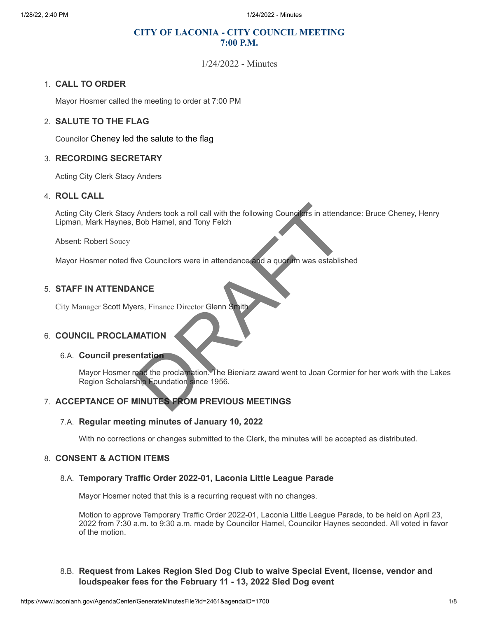# **CITY OF LACONIA - CITY COUNCIL MEETING 7:00 P.M.**

1/24/2022 - Minutes

#### 1. **CALL TO ORDER**

Mayor Hosmer called the meeting to order at 7:00 PM

#### 2. **SALUTE TO THE FLAG**

Councilor Cheney led the salute to the flag

#### 3. **RECORDING SECRETARY**

Acting City Clerk Stacy Anders

#### 4. **ROLL CALL**

Acting City Clerk Stacy Anders took a roll call with the following Councilors in attendance: Bruce Cheney, Henry Lipman, Mark Haynes, Bob Hamel, and Tony Felch Materia took a roll call with the following Councilors in attends<br>
Bob Hamel, and Tony Felch<br>
We Councilors were in attendance and a guarum was established<br>
WATION<br>
MATION<br>
MATION<br>
ANTION<br>
MATION<br>
MATION<br>
MATION<br>
MATION<br>
M

Absent: Robert Soucy

Mayor Hosmer noted five Councilors were in attendance and a quorum was established

#### 5. **STAFF IN ATTENDANCE**

City Manager Scott Myers, Finance Director Glenn Smith

## 6. **COUNCIL PROCLAMATION**

#### 6.A. **Council presentation**

Mayor Hosmer read the proclamation. The Bieniarz award went to Joan Cormier for her work with the Lakes Region Scholarship Foundation since 1956.

# 7. **ACCEPTANCE OF MINUTES FROM PREVIOUS MEETINGS**

#### 7.A. **Regular meeting minutes of January 10, 2022**

With no corrections or changes submitted to the Clerk, the minutes will be accepted as distributed.

## 8. **CONSENT & ACTION ITEMS**

#### 8.A. **Temporary Traffic Order 2022-01, Laconia Little League Parade**

Mayor Hosmer noted that this is a recurring request with no changes.

Motion to approve Temporary Traffic Order 2022-01, Laconia Little League Parade, to be held on April 23, 2022 from 7:30 a.m. to 9:30 a.m. made by Councilor Hamel, Councilor Haynes seconded. All voted in favor of the motion.

# 8.B. **Request from Lakes Region Sled Dog Club to waive Special Event, license, vendor and loudspeaker fees for the February 11 - 13, 2022 Sled Dog event**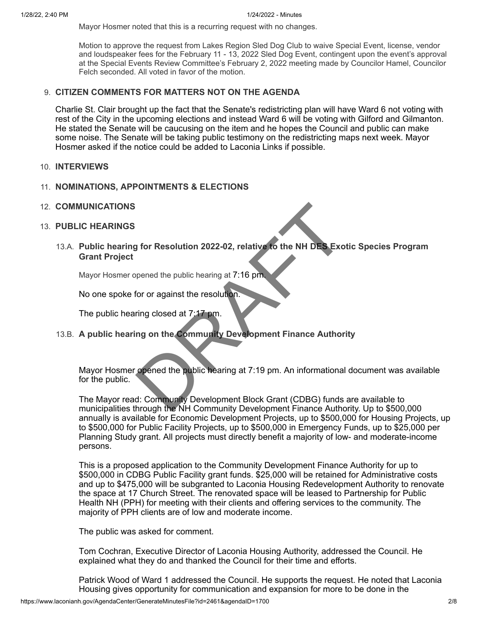Mayor Hosmer noted that this is a recurring request with no changes.

Motion to approve the request from Lakes Region Sled Dog Club to waive Special Event, license, vendor and loudspeaker fees for the February 11 - 13, 2022 Sled Dog Event, contingent upon the event's approval at the Special Events Review Committee's February 2, 2022 meeting made by Councilor Hamel, Councilor Felch seconded. All voted in favor of the motion.

## 9. **CITIZEN COMMENTS FOR MATTERS NOT ON THE AGENDA**

Charlie St. Clair brought up the fact that the Senate's redistricting plan will have Ward 6 not voting with rest of the City in the upcoming elections and instead Ward 6 will be voting with Gilford and Gilmanton. He stated the Senate will be caucusing on the item and he hopes the Council and public can make some noise. The Senate will be taking public testimony on the redistricting maps next week. Mayor Hosmer asked if the notice could be added to Laconia Links if possible.

#### 10. **INTERVIEWS**

## 11. **NOMINATIONS, APPOINTMENTS & ELECTIONS**

12. **COMMUNICATIONS**

## 13. **PUBLIC HEARINGS**

13.A. **Public hearing for Resolution 2022-02, relative to the NH DES Exotic Species Program Grant Project** g for Resolution 2022-02, relative to the NH DES Exo<br>
ppened the public hearing at 7:16 pm.<br>
for or against the resolution.<br>
Iring closed at 7:17 pm.<br>
Iring on the Community Development Finance Author<br>
ppened the public he

Mayor Hosmer opened the public hearing at 7:16 pm.

No one spoke for or against the resolution.

The public hearing closed at 7:17 pm.

13.B. **A public hearing on the Community Development Finance Authority**

Mayor Hosmer opened the public hearing at 7:19 pm. An informational document was available for the public.

The Mayor read: Community Development Block Grant (CDBG) funds are available to municipalities through the NH Community Development Finance Authority. Up to \$500,000 annually is available for Economic Development Projects, up to \$500,000 for Housing Projects, up to \$500,000 for Public Facility Projects, up to \$500,000 in Emergency Funds, up to \$25,000 per Planning Study grant. All projects must directly benefit a majority of low- and moderate-income persons.

This is a proposed application to the Community Development Finance Authority for up to \$500,000 in CDBG Public Facility grant funds. \$25,000 will be retained for Administrative costs and up to \$475,000 will be subgranted to Laconia Housing Redevelopment Authority to renovate the space at 17 Church Street. The renovated space will be leased to Partnership for Public Health NH (PPH) for meeting with their clients and offering services to the community. The majority of PPH clients are of low and moderate income.

The public was asked for comment.

Tom Cochran, Executive Director of Laconia Housing Authority, addressed the Council. He explained what they do and thanked the Council for their time and efforts.

Patrick Wood of Ward 1 addressed the Council. He supports the request. He noted that Laconia Housing gives opportunity for communication and expansion for more to be done in the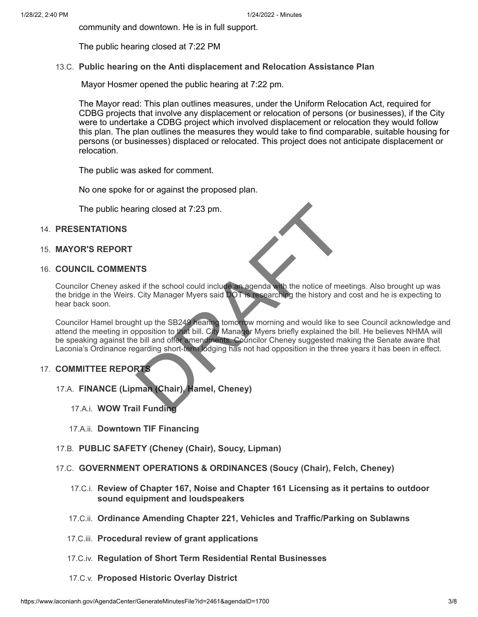community and downtown. He is in full support.

The public hearing closed at 7:22 PM

# 13.C. **Public hearing on the Anti displacement and Relocation Assistance Plan**

Mayor Hosmer opened the public hearing at 7:22 pm.

The Mayor read: This plan outlines measures, under the Uniform Relocation Act, required for CDBG projects that involve any displacement or relocation of persons (or businesses), if the City were to undertake a CDBG project which involved displacement or relocation they would follow this plan. The plan outlines the measures they would take to find comparable, suitable housing for persons (or businesses) displaced or relocated. This project does not anticipate displacement or relocation.

The public was asked for comment.

No one spoke for or against the proposed plan.

The public hearing closed at 7:23 pm.

# 14. **PRESENTATIONS**

15. **MAYOR'S REPORT**

## 16. **COUNCIL COMMENTS**

Councilor Cheney asked if the school could include an agenda with the notice of meetings. Also brought up was the bridge in the Weirs. City Manager Myers said DOT is researching the history and cost and he is expecting to hear back soon.

Councilor Hamel brought up the SB249 hearing tomorrow morning and would like to see Council acknowledge and attend the meeting in opposition to that bill. City Manager Myers briefly explained the bill. He believes NHMA will be speaking against the bill and offer amendments. Councilor Cheney suggested making the Senate aware that Laconia's Ordinance regarding short-term lodging has not had opposition in the three years it has been in effect. TIS<br>
ITS<br>
Example 15 the school could include an agenda with the notice of medicine<br>
City Manager Myers said DOT is researching the history and<br>
the tup the SB249 hearing tomorrow morning and would like to<br>
the bill and of

## 17. **COMMITTEE REPORTS**

- 17.A. **FINANCE (Lipman (Chair), Hamel, Cheney)**
	- 17.A.i. **WOW Trail Funding**
	- 17.A.ii. **Downtown TIF Financing**
- 17.B. **PUBLIC SAFETY (Cheney (Chair), Soucy, Lipman)**
- 17.C. **GOVERNMENT OPERATIONS & ORDINANCES (Soucy (Chair), Felch, Cheney)**
	- 17.C.i. **Review of Chapter 167, Noise and Chapter 161 Licensing as it pertains to outdoor sound equipment and loudspeakers**
	- 17.C.ii. **Ordinance Amending Chapter 221, Vehicles and Traffic/Parking on Sublawns**
	- 17.C.iii. **Procedural review of grant applications**
	- 17.C.iv. **Regulation of Short Term Residential Rental Businesses**
	- 17.C.v. **Proposed Historic Overlay District**

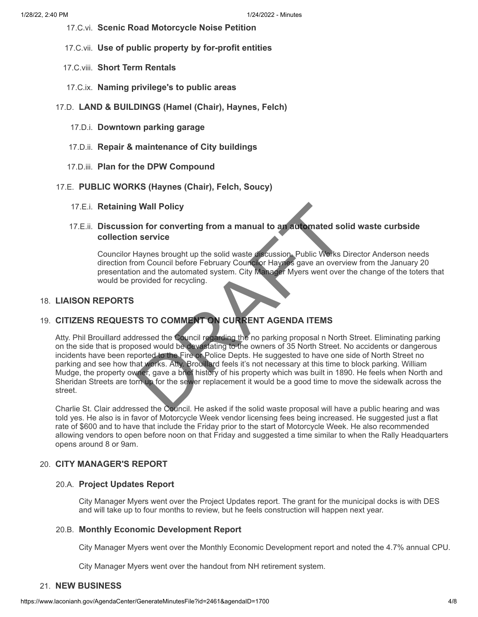- 17.C.vi. **Scenic Road Motorcycle Noise Petition**
- 17.C.vii. **Use of public property by for-profit entities**
- 17.C.viii. **Short Term Rentals**
- 17.C.ix. **Naming privilege's to public areas**
- 17.D. **LAND & BUILDINGS (Hamel (Chair), Haynes, Felch)**
	- 17.D.i. **Downtown parking garage**
	- 17.D.ii. **Repair & maintenance of City buildings**
	- 17.D.iii. **Plan for the DPW Compound**
- 17.E. **PUBLIC WORKS (Haynes (Chair), Felch, Soucy)**
	- 17.E.i. **Retaining Wall Policy**

# 17.E.ii. **Discussion for converting from a manual to an automated solid waste curbside collection service**

Councilor Haynes brought up the solid waste discussion. Public Works Director Anderson needs direction from Council before February Councilor Haynes gave an overview from the January 20 presentation and the automated system. City Manager Myers went over the change of the toters that would be provided for recycling.

# 18. **LIAISON REPORTS**

# 19. **CITIZENS REQUESTS TO COMMENT ON CURRENT AGENDA ITEMS**

Atty. Phil Brouillard addressed the Council regarding the no parking proposal n North Street. Eliminating parking on the side that is proposed would be devastating to the owners of 35 North Street. No accidents or dangerous incidents have been reported to the Fire or Police Depts. He suggested to have one side of North Street no parking and see how that works. Atty. Brouillard feels it's not necessary at this time to block parking. William Mudge, the property owner, gave a brief history of his property which was built in 1890. He feels when North and Sheridan Streets are torn up for the sewer replacement it would be a good time to move the sidewalk across the street. If Wall Policy<br>
In service<br>
Haynes brought up the solid waste discussion. Public Works L<br>
Haynes brought up the solid waste discussion. Public Works L<br>
Iom Council before February Councilor Haynes gave an overvive<br>
Iom and

Charlie St. Clair addressed the Council. He asked if the solid waste proposal will have a public hearing and was told yes. He also is in favor of Motorcycle Week vendor licensing fees being increased. He suggested just a flat rate of \$600 and to have that include the Friday prior to the start of Motorcycle Week. He also recommended allowing vendors to open before noon on that Friday and suggested a time similar to when the Rally Headquarters opens around 8 or 9am.

# 20. **CITY MANAGER'S REPORT**

## 20.A. **Project Updates Report**

City Manager Myers went over the Project Updates report. The grant for the municipal docks is with DES and will take up to four months to review, but he feels construction will happen next year.

## 20.B. **Monthly Economic Development Report**

City Manager Myers went over the Monthly Economic Development report and noted the 4.7% annual CPU.

City Manager Myers went over the handout from NH retirement system.

## 21. **NEW BUSINESS**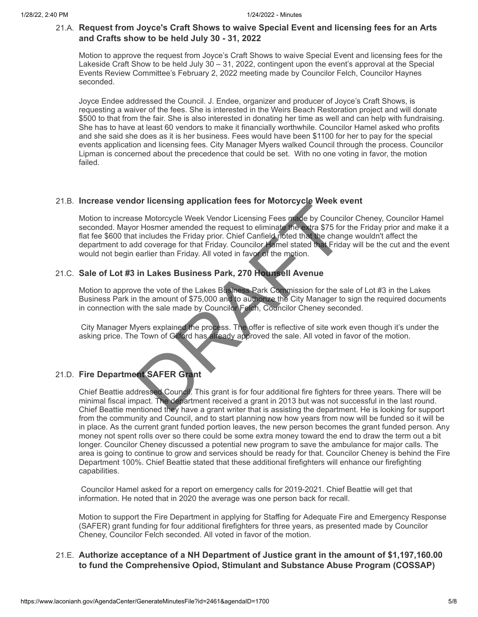# 21.A. **Request from Joyce's Craft Shows to waive Special Event and licensing fees for an Arts and Crafts show to be held July 30 - 31, 2022**

Motion to approve the request from Joyce's Craft Shows to waive Special Event and licensing fees for the Lakeside Craft Show to be held July 30 – 31, 2022, contingent upon the event's approval at the Special Events Review Committee's February 2, 2022 meeting made by Councilor Felch, Councilor Haynes seconded.

Joyce Endee addressed the Council. J. Endee, organizer and producer of Joyce's Craft Shows, is requesting a waiver of the fees. She is interested in the Weirs Beach Restoration project and will donate \$500 to that from the fair. She is also interested in donating her time as well and can help with fundraising. She has to have at least 60 vendors to make it financially worthwhile. Councilor Hamel asked who profits and she said she does as it is her business. Fees would have been \$1100 for her to pay for the special events application and licensing fees. City Manager Myers walked Council through the process. Councilor Lipman is concerned about the precedence that could be set. With no one voting in favor, the motion failed.

# 21.B. **Increase vendor licensing application fees for Motorcycle Week event**

Motion to increase Motorcycle Week Vendor Licensing Fees made by Councilor Cheney, Councilor Hamel seconded. Mayor Hosmer amended the request to eliminate the extra \$75 for the Friday prior and make it a flat fee \$600 that includes the Friday prior. Chief Canfield noted that the change wouldn't affect the department to add coverage for that Friday. Councilor Hamel stated that Friday will be the cut and the event would not begin earlier than Friday. All voted in favor of the motion. for incensing application rees for Motorcycle week even a<br>se Motorcycle Week Vendor Licensing Fees made by Council<br>or Hosmer amended the request to eliminate the extra \$75 for<br>thickness the Friday prior. Chief Canfield not

# 21.C. **Sale of Lot #3 in Lakes Business Park, 270 Hounsell Avenue**

Motion to approve the vote of the Lakes Business Park Commission for the sale of Lot #3 in the Lakes Business Park in the amount of \$75,000 and to authorize the City Manager to sign the required documents in connection with the sale made by Councilor Felch, Councilor Cheney seconded.

City Manager Myers explained the process. The offer is reflective of site work even though it's under the asking price. The Town of Gilford has already approved the sale. All voted in favor of the motion.

# 21.D. **Fire Department SAFER Grant**

Chief Beattie addressed Council. This grant is for four additional fire fighters for three years. There will be minimal fiscal impact. The department received a grant in 2013 but was not successful in the last round. Chief Beattie mentioned they have a grant writer that is assisting the department. He is looking for support from the community and Council, and to start planning now how years from now will be funded so it will be in place. As the current grant funded portion leaves, the new person becomes the grant funded person. Any money not spent rolls over so there could be some extra money toward the end to draw the term out a bit longer. Councilor Cheney discussed a potential new program to save the ambulance for major calls. The area is going to continue to grow and services should be ready for that. Councilor Cheney is behind the Fire Department 100%. Chief Beattie stated that these additional firefighters will enhance our firefighting capabilities.

Councilor Hamel asked for a report on emergency calls for 2019-2021. Chief Beattie will get that information. He noted that in 2020 the average was one person back for recall.

Motion to support the Fire Department in applying for Staffing for Adequate Fire and Emergency Response (SAFER) grant funding for four additional firefighters for three years, as presented made by Councilor Cheney, Councilor Felch seconded. All voted in favor of the motion.

# 21.E. **Authorize acceptance of a NH Department of Justice grant in the amount of \$1,197,160.00 to fund the Comprehensive Opiod, Stimulant and Substance Abuse Program (COSSAP)**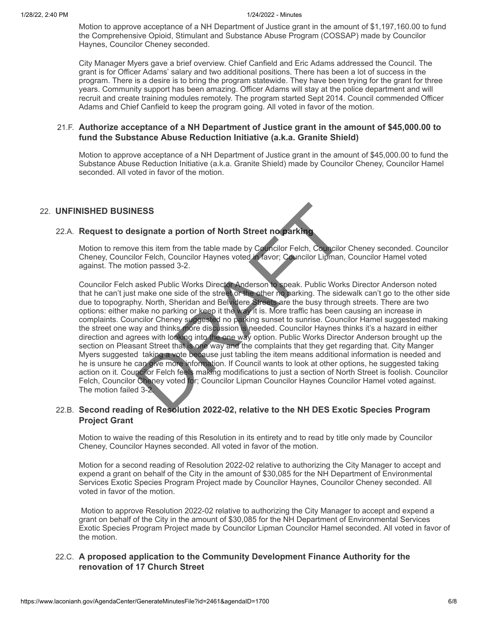Motion to approve acceptance of a NH Department of Justice grant in the amount of \$1,197,160.00 to fund the Comprehensive Opioid, Stimulant and Substance Abuse Program (COSSAP) made by Councilor Haynes, Councilor Cheney seconded.

City Manager Myers gave a brief overview. Chief Canfield and Eric Adams addressed the Council. The grant is for Officer Adams' salary and two additional positions. There has been a lot of success in the program. There is a desire is to bring the program statewide. They have been trying for the grant for three years. Community support has been amazing. Officer Adams will stay at the police department and will recruit and create training modules remotely. The program started Sept 2014. Council commended Officer Adams and Chief Canfield to keep the program going. All voted in favor of the motion.

#### 21.F. **Authorize acceptance of a NH Department of Justice grant in the amount of \$45,000.00 to fund the Substance Abuse Reduction Initiative (a.k.a. Granite Shield)**

Motion to approve acceptance of a NH Department of Justice grant in the amount of \$45,000.00 to fund the Substance Abuse Reduction Initiative (a.k.a. Granite Shield) made by Councilor Cheney, Councilor Hamel seconded. All voted in favor of the motion.

## 22. **UNFINISHED BUSINESS**

## 22.A. **Request to designate a portion of North Street no parking**

Motion to remove this item from the table made by Councilor Felch, Councilor Cheney seconded. Councilor Cheney, Councilor Felch, Councilor Haynes voted in favor; Councilor Lipman, Councilor Hamel voted against. The motion passed 3-2.

Councilor Felch asked Public Works Director Anderson to speak. Public Works Director Anderson noted that he can't just make one side of the street or the other no parking. The sidewalk can't go to the other side due to topography. North, Sheridan and Belvidere Streets are the busy through streets. There are two options: either make no parking or keep it the way it is. More traffic has been causing an increase in complaints. Councilor Cheney suggested no parking sunset to sunrise. Councilor Hamel suggested making the street one way and thinks more discussion is needed. Councilor Haynes thinks it's a hazard in either direction and agrees with looking into the one way option. Public Works Director Anderson brought up the section on Pleasant Street that is one way and the complaints that they get regarding that. City Manger Myers suggested taking a vote because just tabling the item means additional information is needed and he is unsure he can give more information. If Council wants to look at other options, he suggested taking action on it. Councilor Felch feels making modifications to just a section of North Street is foolish. Councilor Felch, Councilor Cheney voted for; Councilor Lipman Councilor Haynes Councilor Hamel voted against. The motion failed 3-2. **NESS**<br>
Signate a portion of North Street no parking<br>
the this item from the table made by Councilor Felch, Councilor<br>
for Felch, Councilor Haynes voted fratavor; Councilor Lipman,<br>
tion passed 3-2.<br>
asked Public Works Dir

## 22.B. **Second reading of Resolution 2022-02, relative to the NH DES Exotic Species Program Project Grant**

Motion to waive the reading of this Resolution in its entirety and to read by title only made by Councilor Cheney, Councilor Haynes seconded. All voted in favor of the motion.

Motion for a second reading of Resolution 2022-02 relative to authorizing the City Manager to accept and expend a grant on behalf of the City in the amount of \$30,085 for the NH Department of Environmental Services Exotic Species Program Project made by Councilor Haynes, Councilor Cheney seconded. All voted in favor of the motion.

Motion to approve Resolution 2022-02 relative to authorizing the City Manager to accept and expend a grant on behalf of the City in the amount of \$30,085 for the NH Department of Environmental Services Exotic Species Program Project made by Councilor Lipman Councilor Hamel seconded. All voted in favor of the motion.

# 22.C. **A proposed application to the Community Development Finance Authority for the renovation of 17 Church Street**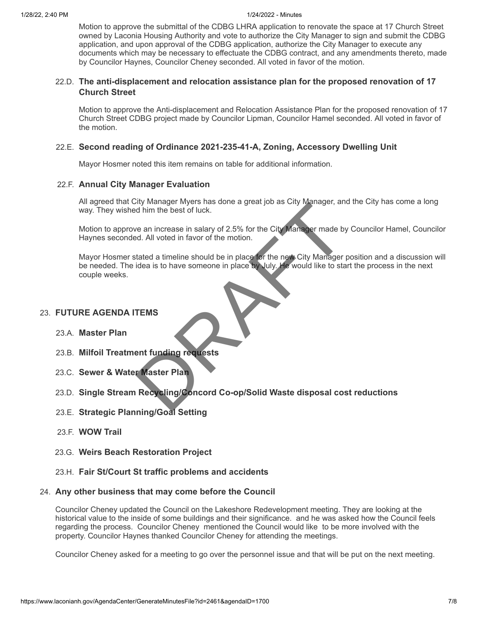#### 1/28/22, 2:40 PM 1/24/2022 - Minutes

Motion to approve the submittal of the CDBG LHRA application to renovate the space at 17 Church Street owned by Laconia Housing Authority and vote to authorize the City Manager to sign and submit the CDBG application, and upon approval of the CDBG application, authorize the City Manager to execute any documents which may be necessary to effectuate the CDBG contract, and any amendments thereto, made by Councilor Haynes, Councilor Cheney seconded. All voted in favor of the motion.

## 22.D. **The anti-displacement and relocation assistance plan for the proposed renovation of 17 Church Street**

Motion to approve the Anti-displacement and Relocation Assistance Plan for the proposed renovation of 17 Church Street CDBG project made by Councilor Lipman, Councilor Hamel seconded. All voted in favor of the motion.

## 22.E. **Second reading of Ordinance 2021-235-41-A, Zoning, Accessory Dwelling Unit**

Mayor Hosmer noted this item remains on table for additional information.

## 22.F. **Annual City Manager Evaluation**

All agreed that City Manager Myers has done a great job as City Manager, and the City has come a long way. They wished him the best of luck.

Motion to approve an increase in salary of 2.5% for the City Manager made by Councilor Hamel, Councilor Haynes seconded. All voted in favor of the motion.

Mayor Hosmer stated a timeline should be in place for the new City Manager position and a discussion will be needed. The idea is to have someone in place by July. He would like to start the process in the next couple weeks. Contract Correct Co-op/Solid Waste disposal companies<br>
The Recycling Correct Structure of Structure City Manager, and him the best of luck.<br>
We an increase in salary of 2.5% for the City Manager made by<br>
Bed. All voted in

## 23. **FUTURE AGENDA ITEMS**

- 23.A. **Master Plan**
- 23.B. **Milfoil Treatment funding requests**
- 23.C. **Sewer & Water Master Plan**
- 23.D. **Single Stream Recycling/Concord Co-op/Solid Waste disposal cost reductions**
- 23.E. **Strategic Planning/Goal Setting**
- 23.F. **WOW Trail**
- 23.G. **Weirs Beach Restoration Project**
- 23.H. **Fair St/Court St traffic problems and accidents**

#### 24. **Any other business that may come before the Council**

Councilor Cheney updated the Council on the Lakeshore Redevelopment meeting. They are looking at the historical value to the inside of some buildings and their significance. and he was asked how the Council feels regarding the process. Councilor Cheney mentioned the Council would like to be more involved with the property. Councilor Haynes thanked Councilor Cheney for attending the meetings.

Councilor Cheney asked for a meeting to go over the personnel issue and that will be put on the next meeting.